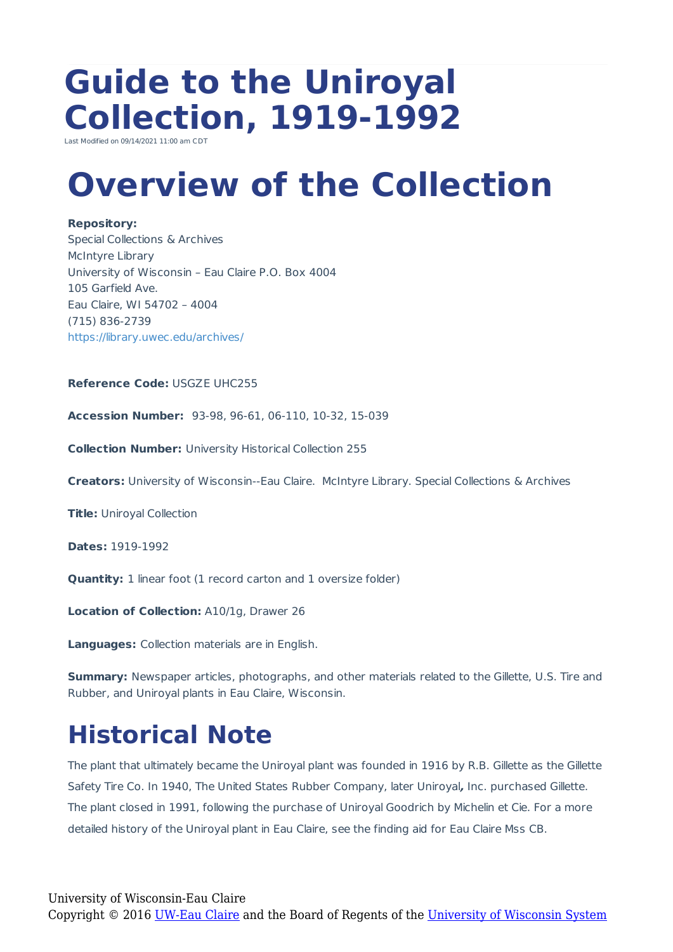# **Guide to the Uniroyal Collection, 1919-1992**

Last Modified on 09/14/2021 11:00 am C

# **Overview of the Collection**

#### **Repository:**

Special Collections & Archives McIntyre Library University of Wisconsin – Eau Claire P.O. Box 4004 105 Garfield Ave. Eau Claire, WI 54702 – 4004 (715) 836-2739 https://library.uwec.edu/archives/

### **Reference Code:** USGZE UHC255

**Accession Number:** 93-98, 96-61, 06-110, 10-32, 15-039

**Collection Number:** University Historical Collection 255

**Creators:** University of Wisconsin--Eau Claire. McIntyre Library. Special Collections & Archives

**Title:** Uniroyal Collection

**Dates:** 1919-1992

**Quantity:** 1 linear foot (1 record carton and 1 oversize folder)

**Location of Collection:** A10/1g, Drawer 26

**Languages:** Collection materials are in English.

**Summary:** Newspaper articles, photographs, and other materials related to the Gillette, U.S. Tire and Rubber, and Uniroyal plants in Eau Claire, Wisconsin.

### **Historical Note**

The plant that ultimately became the Uniroyal plant was founded in 1916 by R.B. Gillette as the Gillette Safety Tire Co. In 1940, The United States Rubber Company, later Uniroyal**,** Inc. purchased Gillette. The plant closed in 1991, following the purchase of Uniroyal Goodrich by Michelin et Cie. For a more detailed history of the Uniroyal plant in Eau Claire, see the finding aid for Eau Claire Mss CB.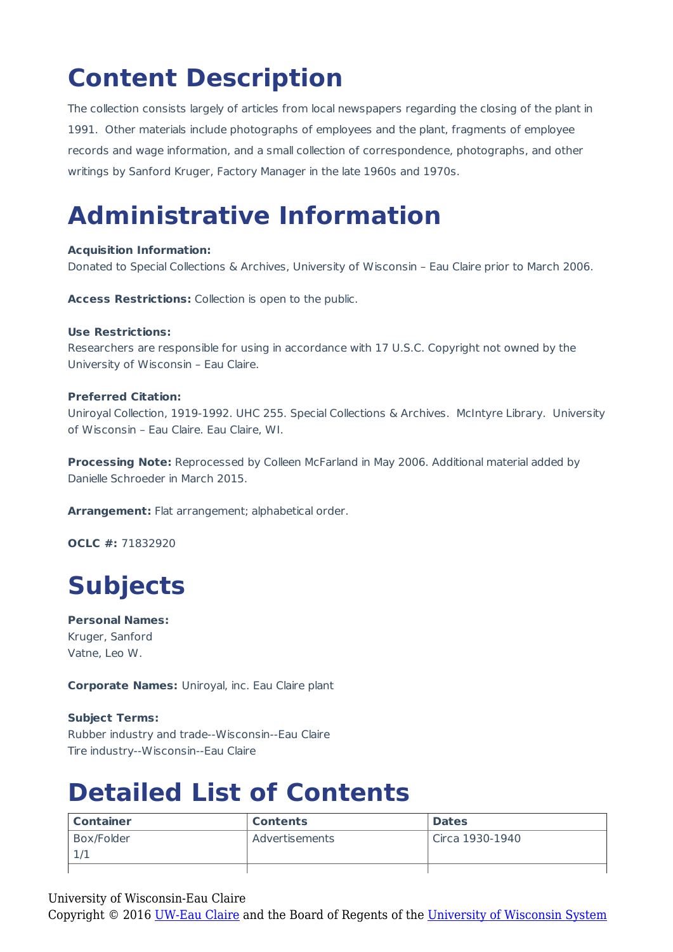## **Content Description**

The collection consists largely of articles from local newspapers regarding the closing of the plant in 1991. Other materials include photographs of employees and the plant, fragments of employee records and wage information, and a small collection of correspondence, photographs, and other writings by Sanford Kruger, Factory Manager in the late 1960s and 1970s.

### **Administrative Information**

#### **Acquisition Information:**

Donated to Special Collections & Archives, University of Wisconsin – Eau Claire prior to March 2006.

**Access Restrictions:** Collection is open to the public.

#### **Use Restrictions:**

Researchers are responsible for using in accordance with 17 U.S.C. Copyright not owned by the University of Wisconsin – Eau Claire.

### **Preferred Citation:**

Uniroyal Collection, 1919-1992. UHC 255. Special Collections & Archives. McIntyre Library. University of Wisconsin – Eau Claire. Eau Claire, WI.

**Processing Note:** Reprocessed by Colleen McFarland in May 2006. Additional material added by Danielle Schroeder in March 2015.

**Arrangement:** Flat arrangement; alphabetical order.

**OCLC #:** 71832920

### **Subjects**

**Personal Names:** Kruger, Sanford Vatne, Leo W.

**Corporate Names:** Uniroyal, inc. Eau Claire plant

**Subject Terms:** Rubber industry and trade--Wisconsin--Eau Claire Tire industry--Wisconsin--Eau Claire

### **Detailed List of Contents**

| <b>Container</b> | <b>Contents</b> | <b>Dates</b>    |
|------------------|-----------------|-----------------|
| Box/Folder       | Advertisements  | Circa 1930-1940 |
|                  |                 |                 |
|                  |                 |                 |

University of Wisconsin-Eau Claire

Copyright © 2016 [UW-Eau Claire](http://www.uwec.edu) and the Board of Regents of the [University of Wisconsin System](http://www.uwsa.edu/)